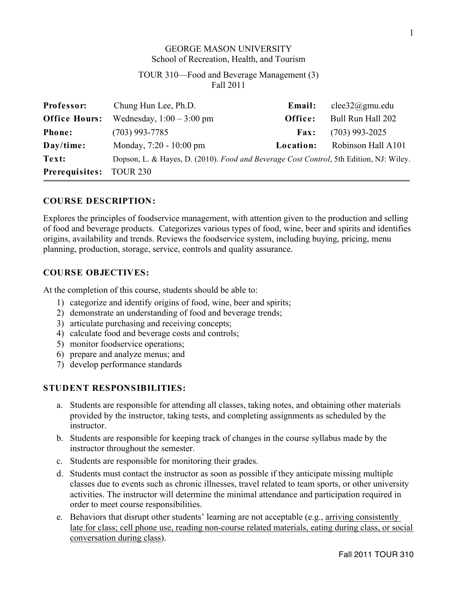## GEORGE MASON UNIVERSITY School of Recreation, Health, and Tourism

## TOUR 310—Food and Beverage Management (3) Fall 2011

| Professor:                     | Chung Hun Lee, Ph.D.                                                                   | Email:      | clee32@gmu.edu     |
|--------------------------------|----------------------------------------------------------------------------------------|-------------|--------------------|
| <b>Office Hours:</b>           | Wednesday, $1:00 - 3:00$ pm                                                            | Office:     | Bull Run Hall 202  |
| <b>Phone:</b>                  | $(703)$ 993-7785                                                                       | <b>Fax:</b> | $(703)$ 993-2025   |
| Day/time:                      | Monday, 7:20 - 10:00 pm                                                                | Location:   | Robinson Hall A101 |
| Text:                          | Dopson, L. & Hayes, D. (2010). Food and Beverage Cost Control, 5th Edition, NJ: Wiley. |             |                    |
| <b>Prerequisites:</b> TOUR 230 |                                                                                        |             |                    |

### **COURSE DESCRIPTION:**

Explores the principles of foodservice management, with attention given to the production and selling of food and beverage products. Categorizes various types of food, wine, beer and spirits and identifies origins, availability and trends. Reviews the foodservice system, including buying, pricing, menu planning, production, storage, service, controls and quality assurance.

#### **COURSE OBJECTIVES:**

At the completion of this course, students should be able to:

- 1) categorize and identify origins of food, wine, beer and spirits;
- 2) demonstrate an understanding of food and beverage trends;
- 3) articulate purchasing and receiving concepts;
- 4) calculate food and beverage costs and controls;
- 5) monitor foodservice operations;
- 6) prepare and analyze menus; and
- 7) develop performance standards

### **STUDENT RESPONSIBILITIES:**

- a. Students are responsible for attending all classes, taking notes, and obtaining other materials provided by the instructor, taking tests, and completing assignments as scheduled by the instructor.
- b. Students are responsible for keeping track of changes in the course syllabus made by the instructor throughout the semester.
- c. Students are responsible for monitoring their grades.
- d. Students must contact the instructor as soon as possible if they anticipate missing multiple classes due to events such as chronic illnesses, travel related to team sports, or other university activities. The instructor will determine the minimal attendance and participation required in order to meet course responsibilities.
- e. Behaviors that disrupt other students' learning are not acceptable (e.g., arriving consistently late for class; cell phone use, reading non-course related materials, eating during class, or social conversation during class).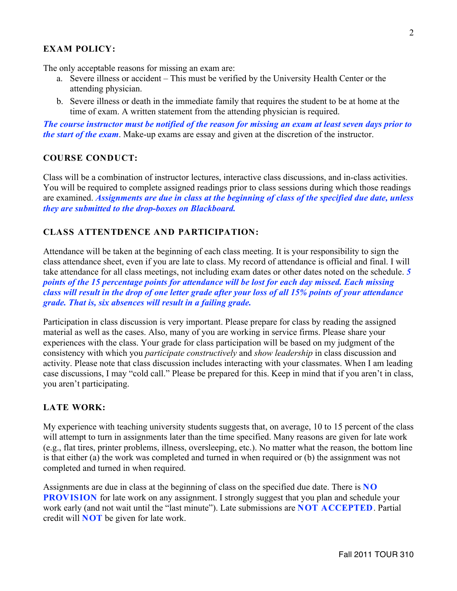# **EXAM POLICY:**

The only acceptable reasons for missing an exam are:

- a. Severe illness or accident This must be verified by the University Health Center or the attending physician.
- b. Severe illness or death in the immediate family that requires the student to be at home at the time of exam. A written statement from the attending physician is required.

*The course instructor must be notified of the reason for missing an exam at least seven days prior to the start of the exam*. Make-up exams are essay and given at the discretion of the instructor.

#### **COURSE CONDUCT:**

Class will be a combination of instructor lectures, interactive class discussions, and in-class activities. You will be required to complete assigned readings prior to class sessions during which those readings are examined. *Assignments are due in class at the beginning of class of the specified due date, unless they are submitted to the drop-boxes on Blackboard.*

## **CLASS ATTENTDENCE AND PARTICIPATION:**

Attendance will be taken at the beginning of each class meeting. It is your responsibility to sign the class attendance sheet, even if you are late to class. My record of attendance is official and final. I will take attendance for all class meetings, not including exam dates or other dates noted on the schedule. *5 points of the 15 percentage points for attendance will be lost for each day missed. Each missing class will result in the drop of one letter grade after your loss of all 15% points of your attendance grade. That is, six absences will result in a failing grade.*

Participation in class discussion is very important. Please prepare for class by reading the assigned material as well as the cases. Also, many of you are working in service firms. Please share your experiences with the class. Your grade for class participation will be based on my judgment of the consistency with which you *participate constructively* and *show leadership* in class discussion and activity. Please note that class discussion includes interacting with your classmates. When I am leading case discussions, I may "cold call." Please be prepared for this. Keep in mind that if you aren't in class, you aren't participating.

## **LATE WORK:**

My experience with teaching university students suggests that, on average, 10 to 15 percent of the class will attempt to turn in assignments later than the time specified. Many reasons are given for late work (e.g., flat tires, printer problems, illness, oversleeping, etc.). No matter what the reason, the bottom line is that either (a) the work was completed and turned in when required or (b) the assignment was not completed and turned in when required.

Assignments are due in class at the beginning of class on the specified due date. There is **NO PROVISION** for late work on any assignment. I strongly suggest that you plan and schedule your work early (and not wait until the "last minute"). Late submissions are **NOT ACCEPTED**. Partial credit will **NOT** be given for late work.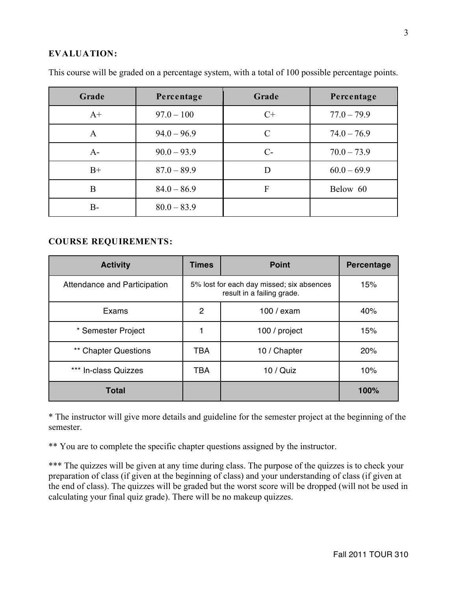## **EVALUATION:**

| Grade | Percentage    | Grade         | Percentage    |
|-------|---------------|---------------|---------------|
| $A+$  | $97.0 - 100$  | $C+$          | $77.0 - 79.9$ |
| A     | $94.0 - 96.9$ | $\mathcal{C}$ | $74.0 - 76.9$ |
| $A-$  | $90.0 - 93.9$ | $C-$          | $70.0 - 73.9$ |
| $B+$  | $87.0 - 89.9$ | D             | $60.0 - 69.9$ |
| B     | $84.0 - 86.9$ | F             | Below 60      |
| B-    | $80.0 - 83.9$ |               |               |

This course will be graded on a percentage system, with a total of 100 possible percentage points.

### **COURSE REQUIREMENTS:**

| <b>Activity</b>              | <b>Times</b>   | <b>Point</b>                                                            | <b>Percentage</b> |
|------------------------------|----------------|-------------------------------------------------------------------------|-------------------|
| Attendance and Participation |                | 5% lost for each day missed; six absences<br>result in a failing grade. | 15%               |
| Exams                        | $\overline{2}$ | 100 / exam                                                              | 40%               |
| * Semester Project           |                | 100 / project                                                           | 15%               |
| ** Chapter Questions         | TBA            | 10 / Chapter                                                            | 20%               |
| *** In-class Quizzes         | <b>TBA</b>     | $10 /$ Quiz                                                             | 10%               |
| <b>Total</b>                 |                |                                                                         | 100%              |

\* The instructor will give more details and guideline for the semester project at the beginning of the semester.

\*\* You are to complete the specific chapter questions assigned by the instructor.

\*\*\* The quizzes will be given at any time during class. The purpose of the quizzes is to check your preparation of class (if given at the beginning of class) and your understanding of class (if given at the end of class). The quizzes will be graded but the worst score will be dropped (will not be used in calculating your final quiz grade). There will be no makeup quizzes.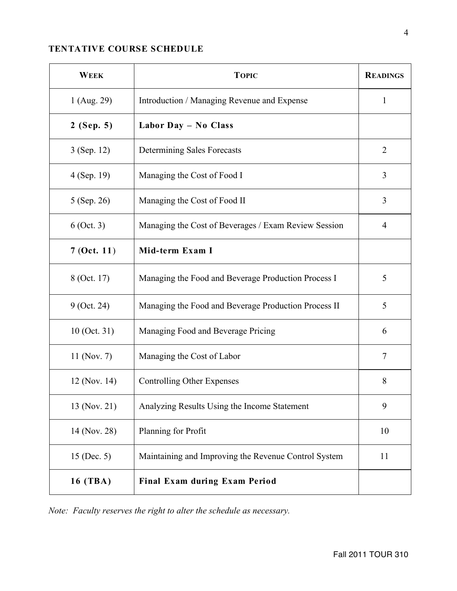# **TENTATIVE COURSE SCHEDULE**

| <b>WEEK</b>    | <b>TOPIC</b>                                         | <b>READINGS</b> |
|----------------|------------------------------------------------------|-----------------|
| 1 (Aug. 29)    | Introduction / Managing Revenue and Expense          | 1               |
| $2$ (Sep. 5)   | Labor Day - No Class                                 |                 |
| 3 (Sep. 12)    | Determining Sales Forecasts                          | $\overline{2}$  |
| 4 (Sep. 19)    | Managing the Cost of Food I                          | 3               |
| 5 (Sep. 26)    | Managing the Cost of Food II                         | 3               |
| $6$ (Oct. 3)   | Managing the Cost of Beverages / Exam Review Session | $\overline{4}$  |
| 7(Oct. 11)     | Mid-term Exam I                                      |                 |
| 8 (Oct. 17)    | Managing the Food and Beverage Production Process I  | 5               |
| $9$ (Oct. 24)  | Managing the Food and Beverage Production Process II | 5               |
| $10$ (Oct. 31) | Managing Food and Beverage Pricing                   | 6               |
| 11 (Nov. 7)    | Managing the Cost of Labor                           | 7               |
| 12 (Nov. 14)   | <b>Controlling Other Expenses</b>                    | 8               |
| 13 (Nov. 21)   | Analyzing Results Using the Income Statement         | 9               |
| 14 (Nov. 28)   | Planning for Profit                                  | 10              |
| 15 (Dec. 5)    | Maintaining and Improving the Revenue Control System | 11              |
| 16 (TBA)       | Final Exam during Exam Period                        |                 |

*Note: Faculty reserves the right to alter the schedule as necessary.*